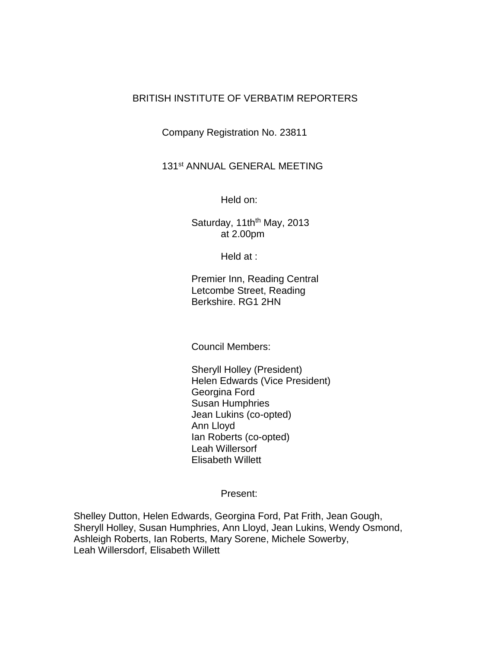## BRITISH INSTITUTE OF VERBATIM REPORTERS

Company Registration No. 23811

## 131st ANNUAL GENERAL MEETING

Held on:

Saturday,  $11th<sup>th</sup>$  May, 2013 at 2.00pm

Held at :

Premier Inn, Reading Central Letcombe Street, Reading Berkshire. RG1 2HN

Council Members:

Sheryll Holley (President) Helen Edwards (Vice President) Georgina Ford Susan Humphries Jean Lukins (co-opted) Ann Lloyd Ian Roberts (co-opted) Leah Willersorf Elisabeth Willett

Present:

Shelley Dutton, Helen Edwards, Georgina Ford, Pat Frith, Jean Gough, Sheryll Holley, Susan Humphries, Ann Lloyd, Jean Lukins, Wendy Osmond, Ashleigh Roberts, Ian Roberts, Mary Sorene, Michele Sowerby, Leah Willersdorf, Elisabeth Willett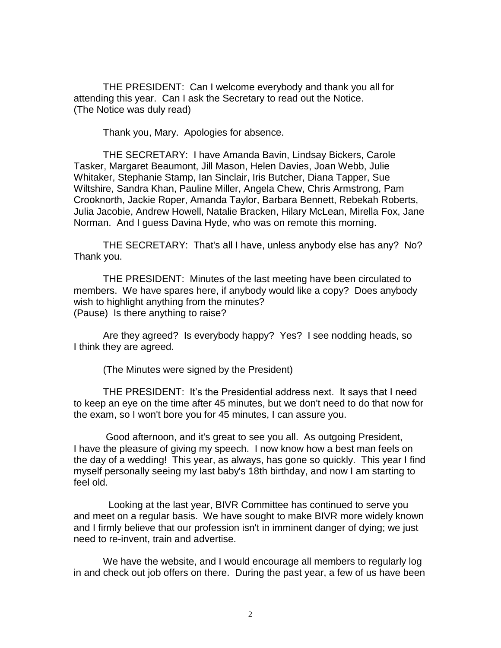THE PRESIDENT: Can I welcome everybody and thank you all for attending this year. Can I ask the Secretary to read out the Notice. (The Notice was duly read)

Thank you, Mary. Apologies for absence.

THE SECRETARY: I have Amanda Bavin, Lindsay Bickers, Carole Tasker, Margaret Beaumont, Jill Mason, Helen Davies, Joan Webb, Julie Whitaker, Stephanie Stamp, Ian Sinclair, Iris Butcher, Diana Tapper, Sue Wiltshire, Sandra Khan, Pauline Miller, Angela Chew, Chris Armstrong, Pam Crooknorth, Jackie Roper, Amanda Taylor, Barbara Bennett, Rebekah Roberts, Julia Jacobie, Andrew Howell, Natalie Bracken, Hilary McLean, Mirella Fox, Jane Norman. And I guess Davina Hyde, who was on remote this morning.

THE SECRETARY: That's all I have, unless anybody else has any? No? Thank you.

THE PRESIDENT: Minutes of the last meeting have been circulated to members. We have spares here, if anybody would like a copy? Does anybody wish to highlight anything from the minutes? (Pause) Is there anything to raise?

Are they agreed? Is everybody happy? Yes? I see nodding heads, so I think they are agreed.

(The Minutes were signed by the President)

THE PRESIDENT: It's the Presidential address next. It says that I need to keep an eye on the time after 45 minutes, but we don't need to do that now for the exam, so I won't bore you for 45 minutes, I can assure you.

Good afternoon, and it's great to see you all. As outgoing President, I have the pleasure of giving my speech. I now know how a best man feels on the day of a wedding! This year, as always, has gone so quickly. This year I find myself personally seeing my last baby's 18th birthday, and now I am starting to feel old.

 Looking at the last year, BIVR Committee has continued to serve you and meet on a regular basis. We have sought to make BIVR more widely known and I firmly believe that our profession isn't in imminent danger of dying; we just need to re-invent, train and advertise.

We have the website, and I would encourage all members to regularly log in and check out job offers on there. During the past year, a few of us have been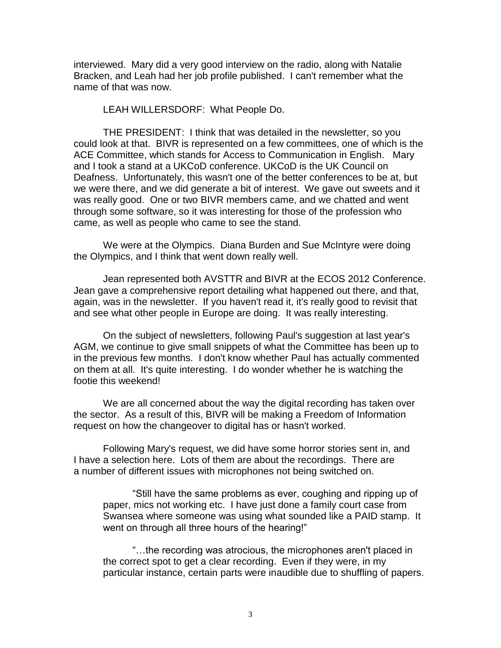interviewed. Mary did a very good interview on the radio, along with Natalie Bracken, and Leah had her job profile published. I can't remember what the name of that was now.

LEAH WILLERSDORF: What People Do.

THE PRESIDENT: I think that was detailed in the newsletter, so you could look at that. BIVR is represented on a few committees, one of which is the ACE Committee, which stands for Access to Communication in English. Mary and I took a stand at a UKCoD conference. UKCoD is the UK Council on Deafness. Unfortunately, this wasn't one of the better conferences to be at, but we were there, and we did generate a bit of interest. We gave out sweets and it was really good. One or two BIVR members came, and we chatted and went through some software, so it was interesting for those of the profession who came, as well as people who came to see the stand.

We were at the Olympics. Diana Burden and Sue McIntyre were doing the Olympics, and I think that went down really well.

Jean represented both AVSTTR and BIVR at the ECOS 2012 Conference. Jean gave a comprehensive report detailing what happened out there, and that, again, was in the newsletter. If you haven't read it, it's really good to revisit that and see what other people in Europe are doing. It was really interesting.

On the subject of newsletters, following Paul's suggestion at last year's AGM, we continue to give small snippets of what the Committee has been up to in the previous few months. I don't know whether Paul has actually commented on them at all. It's quite interesting. I do wonder whether he is watching the footie this weekend!

We are all concerned about the way the digital recording has taken over the sector. As a result of this, BIVR will be making a Freedom of Information request on how the changeover to digital has or hasn't worked.

Following Mary's request, we did have some horror stories sent in, and I have a selection here. Lots of them are about the recordings. There are a number of different issues with microphones not being switched on.

"Still have the same problems as ever, coughing and ripping up of paper, mics not working etc. I have just done a family court case from Swansea where someone was using what sounded like a PAID stamp. It went on through all three hours of the hearing!"

"…the recording was atrocious, the microphones aren't placed in the correct spot to get a clear recording. Even if they were, in my particular instance, certain parts were inaudible due to shuffling of papers.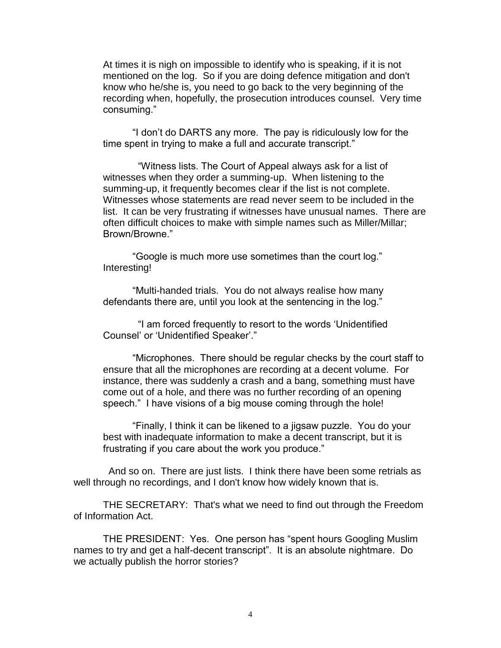At times it is nigh on impossible to identify who is speaking, if it is not mentioned on the log. So if you are doing defence mitigation and don't know who he/she is, you need to go back to the very beginning of the recording when, hopefully, the prosecution introduces counsel. Very time consuming."

"I don't do DARTS any more. The pay is ridiculously low for the time spent in trying to make a full and accurate transcript."

 "Witness lists. The Court of Appeal always ask for a list of witnesses when they order a summing-up. When listening to the summing-up, it frequently becomes clear if the list is not complete. Witnesses whose statements are read never seem to be included in the list. It can be very frustrating if witnesses have unusual names. There are often difficult choices to make with simple names such as Miller/Millar; Brown/Browne."

"Google is much more use sometimes than the court log." Interesting!

"Multi-handed trials. You do not always realise how many defendants there are, until you look at the sentencing in the log."

 "I am forced frequently to resort to the words 'Unidentified Counsel' or 'Unidentified Speaker'."

"Microphones. There should be regular checks by the court staff to ensure that all the microphones are recording at a decent volume. For instance, there was suddenly a crash and a bang, something must have come out of a hole, and there was no further recording of an opening speech." I have visions of a big mouse coming through the hole!

"Finally, I think it can be likened to a jigsaw puzzle. You do your best with inadequate information to make a decent transcript, but it is frustrating if you care about the work you produce."

 And so on. There are just lists. I think there have been some retrials as well through no recordings, and I don't know how widely known that is.

THE SECRETARY: That's what we need to find out through the Freedom of Information Act.

THE PRESIDENT: Yes. One person has "spent hours Googling Muslim names to try and get a half-decent transcript". It is an absolute nightmare. Do we actually publish the horror stories?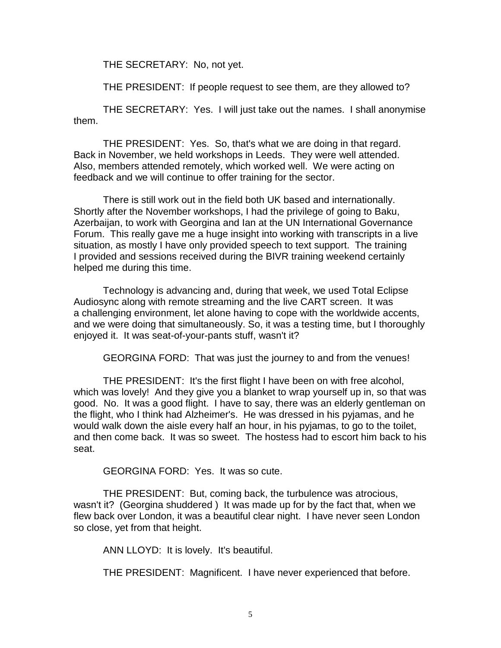THE SECRETARY: No, not yet.

THE PRESIDENT: If people request to see them, are they allowed to?

THE SECRETARY: Yes. I will just take out the names. I shall anonymise them.

THE PRESIDENT: Yes. So, that's what we are doing in that regard. Back in November, we held workshops in Leeds. They were well attended. Also, members attended remotely, which worked well. We were acting on feedback and we will continue to offer training for the sector.

There is still work out in the field both UK based and internationally. Shortly after the November workshops, I had the privilege of going to Baku, Azerbaijan, to work with Georgina and Ian at the UN International Governance Forum. This really gave me a huge insight into working with transcripts in a live situation, as mostly I have only provided speech to text support. The training I provided and sessions received during the BIVR training weekend certainly helped me during this time.

Technology is advancing and, during that week, we used Total Eclipse Audiosync along with remote streaming and the live CART screen. It was a challenging environment, let alone having to cope with the worldwide accents, and we were doing that simultaneously. So, it was a testing time, but I thoroughly enjoyed it. It was seat-of-your-pants stuff, wasn't it?

GEORGINA FORD: That was just the journey to and from the venues!

THE PRESIDENT: It's the first flight I have been on with free alcohol, which was lovely! And they give you a blanket to wrap yourself up in, so that was good. No. It was a good flight. I have to say, there was an elderly gentleman on the flight, who I think had Alzheimer's. He was dressed in his pyjamas, and he would walk down the aisle every half an hour, in his pyjamas, to go to the toilet, and then come back. It was so sweet. The hostess had to escort him back to his seat.

GEORGINA FORD: Yes. It was so cute.

THE PRESIDENT: But, coming back, the turbulence was atrocious, wasn't it? (Georgina shuddered ) It was made up for by the fact that, when we flew back over London, it was a beautiful clear night. I have never seen London so close, yet from that height.

ANN LLOYD: It is lovely. It's beautiful.

THE PRESIDENT: Magnificent. I have never experienced that before.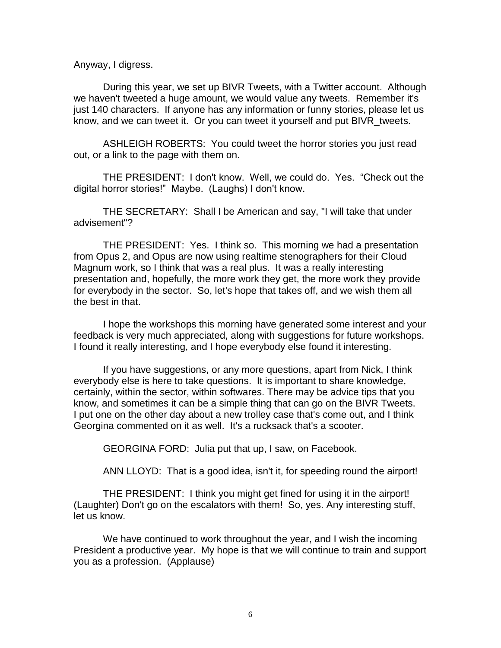Anyway, I digress.

During this year, we set up BIVR Tweets, with a Twitter account. Although we haven't tweeted a huge amount, we would value any tweets. Remember it's just 140 characters. If anyone has any information or funny stories, please let us know, and we can tweet it. Or you can tweet it yourself and put BIVR\_tweets.

ASHLEIGH ROBERTS: You could tweet the horror stories you just read out, or a link to the page with them on.

THE PRESIDENT: I don't know. Well, we could do. Yes. "Check out the digital horror stories!" Maybe. (Laughs) I don't know.

THE SECRETARY: Shall I be American and say, "I will take that under advisement"?

THE PRESIDENT: Yes. I think so. This morning we had a presentation from Opus 2, and Opus are now using realtime stenographers for their Cloud Magnum work, so I think that was a real plus. It was a really interesting presentation and, hopefully, the more work they get, the more work they provide for everybody in the sector. So, let's hope that takes off, and we wish them all the best in that.

I hope the workshops this morning have generated some interest and your feedback is very much appreciated, along with suggestions for future workshops. I found it really interesting, and I hope everybody else found it interesting.

If you have suggestions, or any more questions, apart from Nick, I think everybody else is here to take questions. It is important to share knowledge, certainly, within the sector, within softwares. There may be advice tips that you know, and sometimes it can be a simple thing that can go on the BIVR Tweets. I put one on the other day about a new trolley case that's come out, and I think Georgina commented on it as well. It's a rucksack that's a scooter.

GEORGINA FORD: Julia put that up, I saw, on Facebook.

ANN LLOYD: That is a good idea, isn't it, for speeding round the airport!

THE PRESIDENT: I think you might get fined for using it in the airport! (Laughter) Don't go on the escalators with them! So, yes. Any interesting stuff, let us know.

We have continued to work throughout the year, and I wish the incoming President a productive year. My hope is that we will continue to train and support you as a profession. (Applause)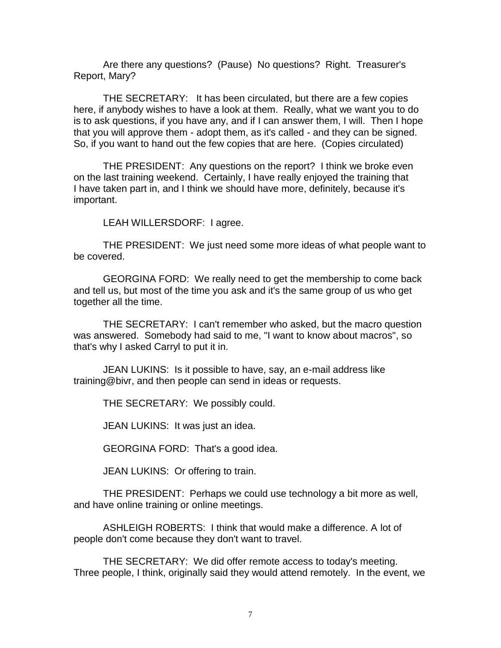Are there any questions? (Pause) No questions? Right. Treasurer's Report, Mary?

THE SECRETARY: It has been circulated, but there are a few copies here, if anybody wishes to have a look at them. Really, what we want you to do is to ask questions, if you have any, and if I can answer them, I will. Then I hope that you will approve them - adopt them, as it's called - and they can be signed. So, if you want to hand out the few copies that are here. (Copies circulated)

THE PRESIDENT: Any questions on the report? I think we broke even on the last training weekend. Certainly, I have really enjoyed the training that I have taken part in, and I think we should have more, definitely, because it's important.

LEAH WILLERSDORF: I agree.

THE PRESIDENT: We just need some more ideas of what people want to be covered.

GEORGINA FORD: We really need to get the membership to come back and tell us, but most of the time you ask and it's the same group of us who get together all the time.

THE SECRETARY: I can't remember who asked, but the macro question was answered. Somebody had said to me, "I want to know about macros", so that's why I asked Carryl to put it in.

JEAN LUKINS: Is it possible to have, say, an e-mail address like training@bivr, and then people can send in ideas or requests.

THE SECRETARY: We possibly could.

JEAN LUKINS: It was just an idea.

GEORGINA FORD: That's a good idea.

JEAN LUKINS: Or offering to train.

THE PRESIDENT: Perhaps we could use technology a bit more as well, and have online training or online meetings.

ASHLEIGH ROBERTS: I think that would make a difference. A lot of people don't come because they don't want to travel.

THE SECRETARY: We did offer remote access to today's meeting. Three people, I think, originally said they would attend remotely. In the event, we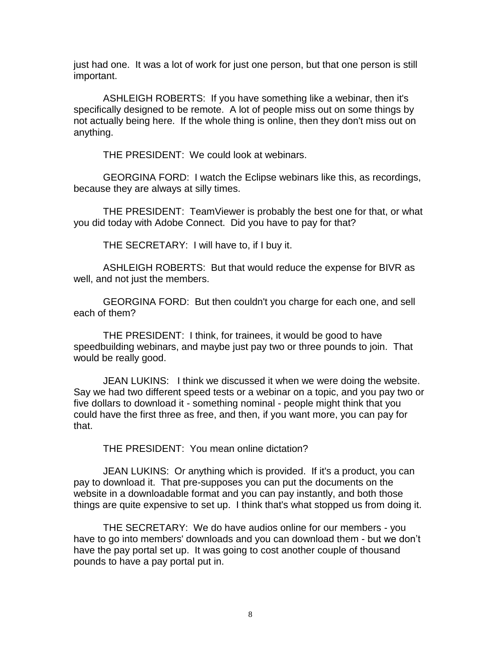just had one. It was a lot of work for just one person, but that one person is still important.

ASHLEIGH ROBERTS: If you have something like a webinar, then it's specifically designed to be remote. A lot of people miss out on some things by not actually being here. If the whole thing is online, then they don't miss out on anything.

THE PRESIDENT: We could look at webinars.

GEORGINA FORD: I watch the Eclipse webinars like this, as recordings, because they are always at silly times.

THE PRESIDENT: TeamViewer is probably the best one for that, or what you did today with Adobe Connect. Did you have to pay for that?

THE SECRETARY: I will have to, if I buy it.

ASHLEIGH ROBERTS: But that would reduce the expense for BIVR as well, and not just the members.

GEORGINA FORD: But then couldn't you charge for each one, and sell each of them?

THE PRESIDENT: I think, for trainees, it would be good to have speedbuilding webinars, and maybe just pay two or three pounds to join. That would be really good.

JEAN LUKINS: I think we discussed it when we were doing the website. Say we had two different speed tests or a webinar on a topic, and you pay two or five dollars to download it - something nominal - people might think that you could have the first three as free, and then, if you want more, you can pay for that.

THE PRESIDENT: You mean online dictation?

JEAN LUKINS: Or anything which is provided. If it's a product, you can pay to download it. That pre-supposes you can put the documents on the website in a downloadable format and you can pay instantly, and both those things are quite expensive to set up. I think that's what stopped us from doing it.

THE SECRETARY: We do have audios online for our members - you have to go into members' downloads and you can download them - but we don't have the pay portal set up. It was going to cost another couple of thousand pounds to have a pay portal put in.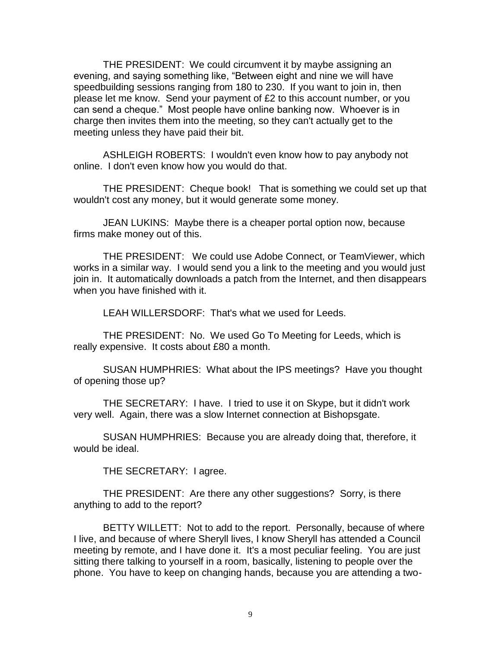THE PRESIDENT: We could circumvent it by maybe assigning an evening, and saying something like, "Between eight and nine we will have speedbuilding sessions ranging from 180 to 230. If you want to join in, then please let me know. Send your payment of £2 to this account number, or you can send a cheque." Most people have online banking now. Whoever is in charge then invites them into the meeting, so they can't actually get to the meeting unless they have paid their bit.

ASHLEIGH ROBERTS: I wouldn't even know how to pay anybody not online. I don't even know how you would do that.

THE PRESIDENT: Cheque book! That is something we could set up that wouldn't cost any money, but it would generate some money.

JEAN LUKINS: Maybe there is a cheaper portal option now, because firms make money out of this.

THE PRESIDENT: We could use Adobe Connect, or TeamViewer, which works in a similar way. I would send you a link to the meeting and you would just join in. It automatically downloads a patch from the Internet, and then disappears when you have finished with it.

LEAH WILLERSDORF: That's what we used for Leeds.

THE PRESIDENT: No. We used Go To Meeting for Leeds, which is really expensive. It costs about £80 a month.

SUSAN HUMPHRIES: What about the IPS meetings? Have you thought of opening those up?

THE SECRETARY: I have. I tried to use it on Skype, but it didn't work very well. Again, there was a slow Internet connection at Bishopsgate.

SUSAN HUMPHRIES: Because you are already doing that, therefore, it would be ideal.

THE SECRETARY: I agree.

THE PRESIDENT: Are there any other suggestions? Sorry, is there anything to add to the report?

BETTY WILLETT: Not to add to the report. Personally, because of where I live, and because of where Sheryll lives, I know Sheryll has attended a Council meeting by remote, and I have done it. It's a most peculiar feeling. You are just sitting there talking to yourself in a room, basically, listening to people over the phone. You have to keep on changing hands, because you are attending a two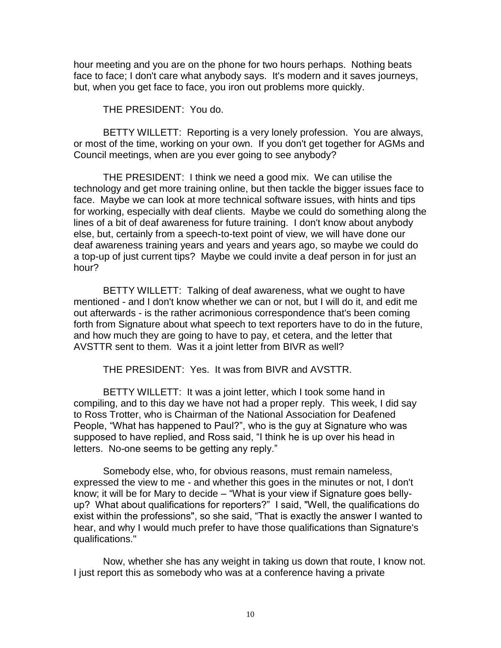hour meeting and you are on the phone for two hours perhaps. Nothing beats face to face; I don't care what anybody says. It's modern and it saves journeys, but, when you get face to face, you iron out problems more quickly.

THE PRESIDENT: You do.

BETTY WILLETT: Reporting is a very lonely profession. You are always, or most of the time, working on your own. If you don't get together for AGMs and Council meetings, when are you ever going to see anybody?

THE PRESIDENT: I think we need a good mix. We can utilise the technology and get more training online, but then tackle the bigger issues face to face. Maybe we can look at more technical software issues, with hints and tips for working, especially with deaf clients. Maybe we could do something along the lines of a bit of deaf awareness for future training. I don't know about anybody else, but, certainly from a speech-to-text point of view, we will have done our deaf awareness training years and years and years ago, so maybe we could do a top-up of just current tips? Maybe we could invite a deaf person in for just an hour?

BETTY WILLETT: Talking of deaf awareness, what we ought to have mentioned - and I don't know whether we can or not, but I will do it, and edit me out afterwards - is the rather acrimonious correspondence that's been coming forth from Signature about what speech to text reporters have to do in the future, and how much they are going to have to pay, et cetera, and the letter that AVSTTR sent to them. Was it a joint letter from BIVR as well?

THE PRESIDENT: Yes. It was from BIVR and AVSTTR.

BETTY WILLETT: It was a joint letter, which I took some hand in compiling, and to this day we have not had a proper reply. This week, I did say to Ross Trotter, who is Chairman of the National Association for Deafened People, "What has happened to Paul?", who is the guy at Signature who was supposed to have replied, and Ross said, "I think he is up over his head in letters. No-one seems to be getting any reply."

Somebody else, who, for obvious reasons, must remain nameless, expressed the view to me - and whether this goes in the minutes or not, I don't know; it will be for Mary to decide – "What is your view if Signature goes bellyup? What about qualifications for reporters?" I said, "Well, the qualifications do exist within the professions", so she said, "That is exactly the answer I wanted to hear, and why I would much prefer to have those qualifications than Signature's qualifications."

Now, whether she has any weight in taking us down that route, I know not. I just report this as somebody who was at a conference having a private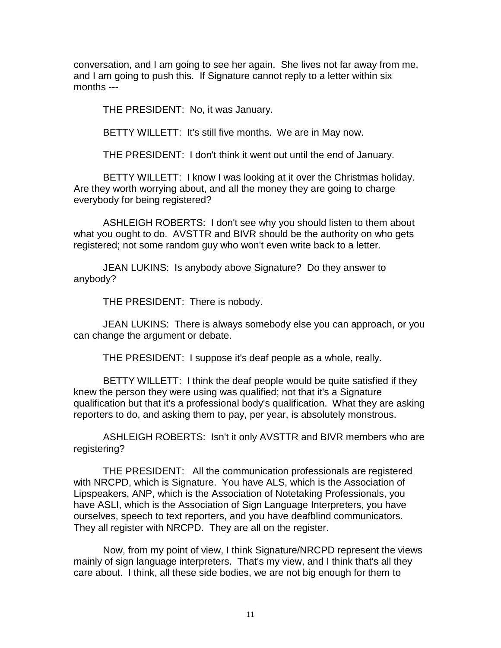conversation, and I am going to see her again. She lives not far away from me, and I am going to push this. If Signature cannot reply to a letter within six months ---

THE PRESIDENT: No, it was January.

BETTY WILLETT: It's still five months. We are in May now.

THE PRESIDENT: I don't think it went out until the end of January.

BETTY WILLETT: I know I was looking at it over the Christmas holiday. Are they worth worrying about, and all the money they are going to charge everybody for being registered?

ASHLEIGH ROBERTS: I don't see why you should listen to them about what you ought to do. AVSTTR and BIVR should be the authority on who gets registered; not some random guy who won't even write back to a letter.

JEAN LUKINS: Is anybody above Signature? Do they answer to anybody?

THE PRESIDENT: There is nobody.

JEAN LUKINS: There is always somebody else you can approach, or you can change the argument or debate.

THE PRESIDENT: I suppose it's deaf people as a whole, really.

BETTY WILLETT: I think the deaf people would be quite satisfied if they knew the person they were using was qualified; not that it's a Signature qualification but that it's a professional body's qualification. What they are asking reporters to do, and asking them to pay, per year, is absolutely monstrous.

ASHLEIGH ROBERTS: Isn't it only AVSTTR and BIVR members who are registering?

THE PRESIDENT: All the communication professionals are registered with NRCPD, which is Signature. You have ALS, which is the Association of Lipspeakers, ANP, which is the Association of Notetaking Professionals, you have ASLI, which is the Association of Sign Language Interpreters, you have ourselves, speech to text reporters, and you have deafblind communicators. They all register with NRCPD. They are all on the register.

Now, from my point of view, I think Signature/NRCPD represent the views mainly of sign language interpreters. That's my view, and I think that's all they care about. I think, all these side bodies, we are not big enough for them to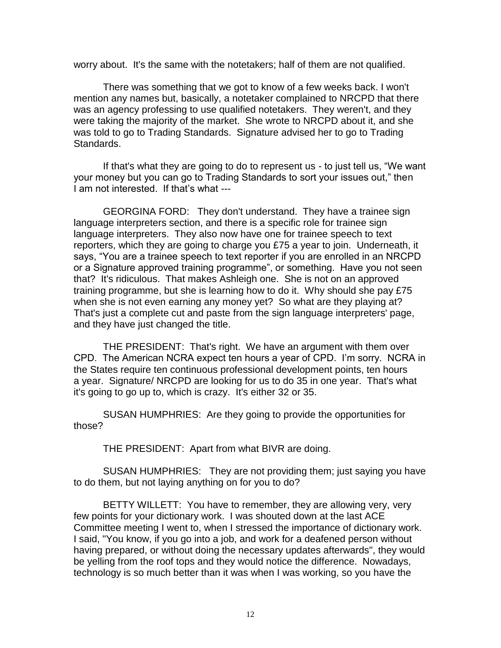worry about. It's the same with the notetakers; half of them are not qualified.

There was something that we got to know of a few weeks back. I won't mention any names but, basically, a notetaker complained to NRCPD that there was an agency professing to use qualified notetakers. They weren't, and they were taking the majority of the market. She wrote to NRCPD about it, and she was told to go to Trading Standards. Signature advised her to go to Trading Standards.

If that's what they are going to do to represent us - to just tell us, "We want your money but you can go to Trading Standards to sort your issues out," then I am not interested. If that's what ---

GEORGINA FORD: They don't understand. They have a trainee sign language interpreters section, and there is a specific role for trainee sign language interpreters. They also now have one for trainee speech to text reporters, which they are going to charge you £75 a year to join. Underneath, it says, "You are a trainee speech to text reporter if you are enrolled in an NRCPD or a Signature approved training programme", or something. Have you not seen that? It's ridiculous. That makes Ashleigh one. She is not on an approved training programme, but she is learning how to do it. Why should she pay £75 when she is not even earning any money yet? So what are they playing at? That's just a complete cut and paste from the sign language interpreters' page, and they have just changed the title.

THE PRESIDENT: That's right. We have an argument with them over CPD. The American NCRA expect ten hours a year of CPD. I'm sorry. NCRA in the States require ten continuous professional development points, ten hours a year. Signature/ NRCPD are looking for us to do 35 in one year. That's what it's going to go up to, which is crazy. It's either 32 or 35.

SUSAN HUMPHRIES: Are they going to provide the opportunities for those?

THE PRESIDENT: Apart from what BIVR are doing.

SUSAN HUMPHRIES: They are not providing them; just saying you have to do them, but not laying anything on for you to do?

BETTY WILLETT: You have to remember, they are allowing very, very few points for your dictionary work. I was shouted down at the last ACE Committee meeting I went to, when I stressed the importance of dictionary work. I said, "You know, if you go into a job, and work for a deafened person without having prepared, or without doing the necessary updates afterwards", they would be yelling from the roof tops and they would notice the difference. Nowadays, technology is so much better than it was when I was working, so you have the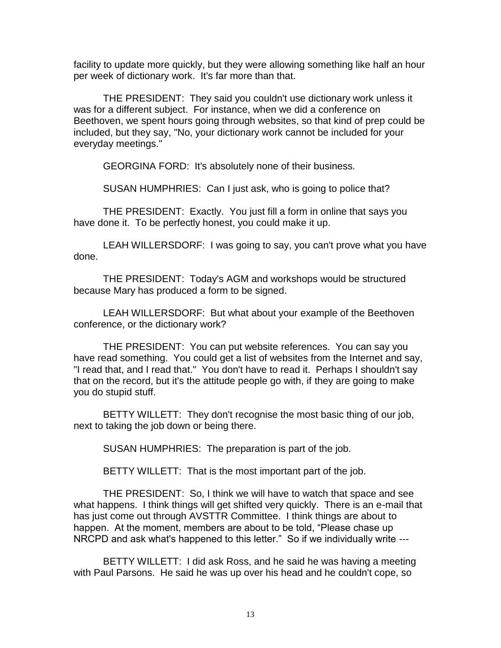facility to update more quickly, but they were allowing something like half an hour per week of dictionary work. It's far more than that.

THE PRESIDENT: They said you couldn't use dictionary work unless it was for a different subject. For instance, when we did a conference on Beethoven, we spent hours going through websites, so that kind of prep could be included, but they say, "No, your dictionary work cannot be included for your everyday meetings."

GEORGINA FORD: It's absolutely none of their business.

SUSAN HUMPHRIES: Can I just ask, who is going to police that?

THE PRESIDENT: Exactly. You just fill a form in online that says you have done it. To be perfectly honest, you could make it up.

LEAH WILLERSDORF: I was going to say, you can't prove what you have done.

THE PRESIDENT: Today's AGM and workshops would be structured because Mary has produced a form to be signed.

LEAH WILLERSDORF: But what about your example of the Beethoven conference, or the dictionary work?

THE PRESIDENT: You can put website references. You can say you have read something. You could get a list of websites from the Internet and say, "I read that, and I read that." You don't have to read it. Perhaps I shouldn't say that on the record, but it's the attitude people go with, if they are going to make you do stupid stuff.

BETTY WILLETT: They don't recognise the most basic thing of our job, next to taking the job down or being there.

SUSAN HUMPHRIES: The preparation is part of the job.

BETTY WILLETT: That is the most important part of the job.

THE PRESIDENT: So, I think we will have to watch that space and see what happens. I think things will get shifted very quickly. There is an e-mail that has just come out through AVSTTR Committee. I think things are about to happen. At the moment, members are about to be told, "Please chase up NRCPD and ask what's happened to this letter." So if we individually write ---

BETTY WILLETT: I did ask Ross, and he said he was having a meeting with Paul Parsons. He said he was up over his head and he couldn't cope, so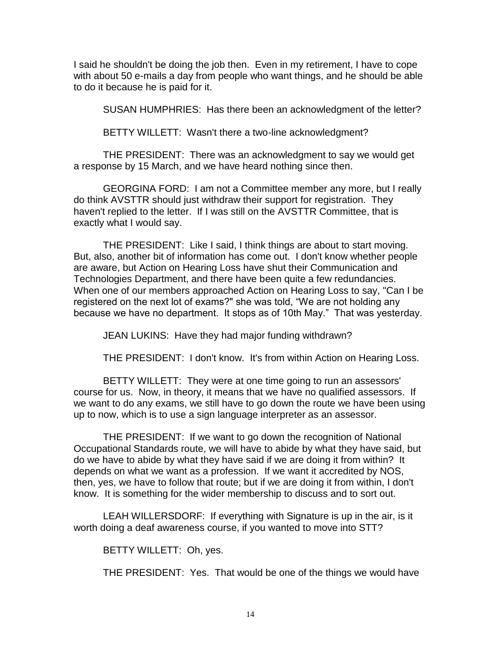I said he shouldn't be doing the job then. Even in my retirement, I have to cope with about 50 e-mails a day from people who want things, and he should be able to do it because he is paid for it.

SUSAN HUMPHRIES: Has there been an acknowledgment of the letter?

BETTY WILLETT: Wasn't there a two-line acknowledgment?

THE PRESIDENT: There was an acknowledgment to say we would get a response by 15 March, and we have heard nothing since then.

GEORGINA FORD: I am not a Committee member any more, but I really do think AVSTTR should just withdraw their support for registration. They haven't replied to the letter. If I was still on the AVSTTR Committee, that is exactly what I would say.

THE PRESIDENT: Like I said, I think things are about to start moving. But, also, another bit of information has come out. I don't know whether people are aware, but Action on Hearing Loss have shut their Communication and Technologies Department, and there have been quite a few redundancies. When one of our members approached Action on Hearing Loss to say, "Can I be registered on the next lot of exams?" she was told, "We are not holding any because we have no department. It stops as of 10th May." That was yesterday.

JEAN LUKINS: Have they had major funding withdrawn?

THE PRESIDENT: I don't know. It's from within Action on Hearing Loss.

BETTY WILLETT: They were at one time going to run an assessors' course for us. Now, in theory, it means that we have no qualified assessors. If we want to do any exams, we still have to go down the route we have been using up to now, which is to use a sign language interpreter as an assessor.

THE PRESIDENT: If we want to go down the recognition of National Occupational Standards route, we will have to abide by what they have said, but do we have to abide by what they have said if we are doing it from within? It depends on what we want as a profession. If we want it accredited by NOS, then, yes, we have to follow that route; but if we are doing it from within, I don't know. It is something for the wider membership to discuss and to sort out.

LEAH WILLERSDORF: If everything with Signature is up in the air, is it worth doing a deaf awareness course, if you wanted to move into STT?

BETTY WILLETT: Oh, yes.

THE PRESIDENT: Yes. That would be one of the things we would have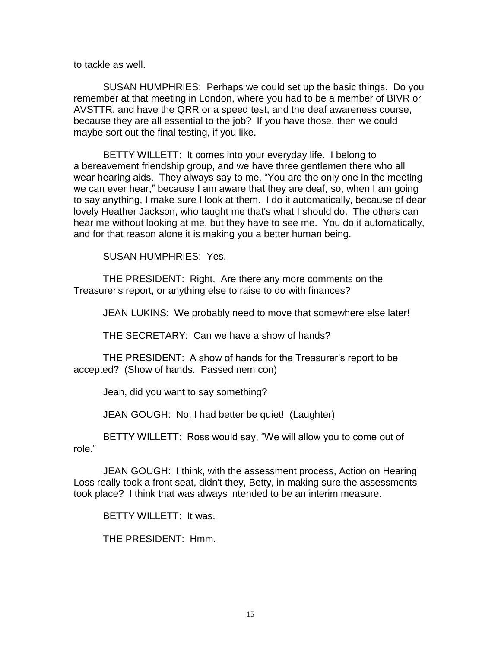to tackle as well.

SUSAN HUMPHRIES: Perhaps we could set up the basic things. Do you remember at that meeting in London, where you had to be a member of BIVR or AVSTTR, and have the QRR or a speed test, and the deaf awareness course, because they are all essential to the job? If you have those, then we could maybe sort out the final testing, if you like.

BETTY WILLETT: It comes into your everyday life. I belong to a bereavement friendship group, and we have three gentlemen there who all wear hearing aids. They always say to me, "You are the only one in the meeting we can ever hear," because I am aware that they are deaf, so, when I am going to say anything, I make sure I look at them. I do it automatically, because of dear lovely Heather Jackson, who taught me that's what I should do. The others can hear me without looking at me, but they have to see me. You do it automatically, and for that reason alone it is making you a better human being.

SUSAN HUMPHRIES: Yes.

THE PRESIDENT: Right. Are there any more comments on the Treasurer's report, or anything else to raise to do with finances?

JEAN LUKINS: We probably need to move that somewhere else later!

THE SECRETARY: Can we have a show of hands?

THE PRESIDENT: A show of hands for the Treasurer's report to be accepted? (Show of hands. Passed nem con)

Jean, did you want to say something?

JEAN GOUGH: No, I had better be quiet! (Laughter)

BETTY WILLETT: Ross would say, "We will allow you to come out of role."

JEAN GOUGH: I think, with the assessment process, Action on Hearing Loss really took a front seat, didn't they, Betty, in making sure the assessments took place? I think that was always intended to be an interim measure.

BETTY WILLETT: It was.

THE PRESIDENT: Hmm.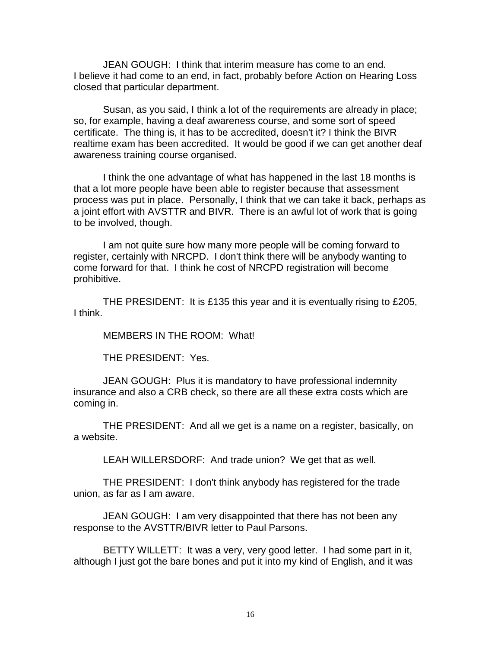JEAN GOUGH: I think that interim measure has come to an end. I believe it had come to an end, in fact, probably before Action on Hearing Loss closed that particular department.

Susan, as you said, I think a lot of the requirements are already in place; so, for example, having a deaf awareness course, and some sort of speed certificate. The thing is, it has to be accredited, doesn't it? I think the BIVR realtime exam has been accredited. It would be good if we can get another deaf awareness training course organised.

I think the one advantage of what has happened in the last 18 months is that a lot more people have been able to register because that assessment process was put in place. Personally, I think that we can take it back, perhaps as a joint effort with AVSTTR and BIVR. There is an awful lot of work that is going to be involved, though.

I am not quite sure how many more people will be coming forward to register, certainly with NRCPD. I don't think there will be anybody wanting to come forward for that. I think he cost of NRCPD registration will become prohibitive.

THE PRESIDENT: It is £135 this year and it is eventually rising to £205, I think.

MEMBERS IN THE ROOM: What!

THE PRESIDENT: Yes.

JEAN GOUGH: Plus it is mandatory to have professional indemnity insurance and also a CRB check, so there are all these extra costs which are coming in.

THE PRESIDENT: And all we get is a name on a register, basically, on a website.

LEAH WILLERSDORF: And trade union? We get that as well.

THE PRESIDENT: I don't think anybody has registered for the trade union, as far as I am aware.

JEAN GOUGH: I am very disappointed that there has not been any response to the AVSTTR/BIVR letter to Paul Parsons.

BETTY WILLETT: It was a very, very good letter. I had some part in it, although I just got the bare bones and put it into my kind of English, and it was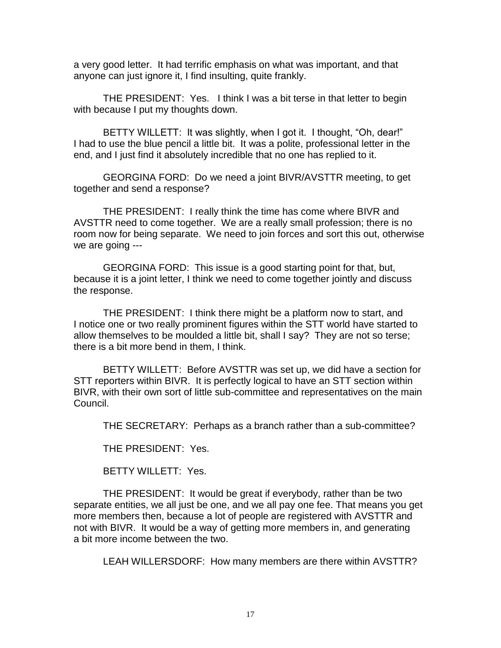a very good letter. It had terrific emphasis on what was important, and that anyone can just ignore it, I find insulting, quite frankly.

THE PRESIDENT: Yes. I think I was a bit terse in that letter to begin with because I put my thoughts down.

BETTY WILLETT: It was slightly, when I got it. I thought, "Oh, dear!" I had to use the blue pencil a little bit. It was a polite, professional letter in the end, and I just find it absolutely incredible that no one has replied to it.

GEORGINA FORD: Do we need a joint BIVR/AVSTTR meeting, to get together and send a response?

THE PRESIDENT: I really think the time has come where BIVR and AVSTTR need to come together. We are a really small profession; there is no room now for being separate. We need to join forces and sort this out, otherwise we are going ---

GEORGINA FORD: This issue is a good starting point for that, but, because it is a joint letter, I think we need to come together jointly and discuss the response.

THE PRESIDENT: I think there might be a platform now to start, and I notice one or two really prominent figures within the STT world have started to allow themselves to be moulded a little bit, shall I say? They are not so terse; there is a bit more bend in them, I think.

BETTY WILLETT: Before AVSTTR was set up, we did have a section for STT reporters within BIVR. It is perfectly logical to have an STT section within BIVR, with their own sort of little sub-committee and representatives on the main Council.

THE SECRETARY: Perhaps as a branch rather than a sub-committee?

THE PRESIDENT: Yes.

BETTY WILLETT: Yes.

THE PRESIDENT: It would be great if everybody, rather than be two separate entities, we all just be one, and we all pay one fee. That means you get more members then, because a lot of people are registered with AVSTTR and not with BIVR. It would be a way of getting more members in, and generating a bit more income between the two.

LEAH WILLERSDORF: How many members are there within AVSTTR?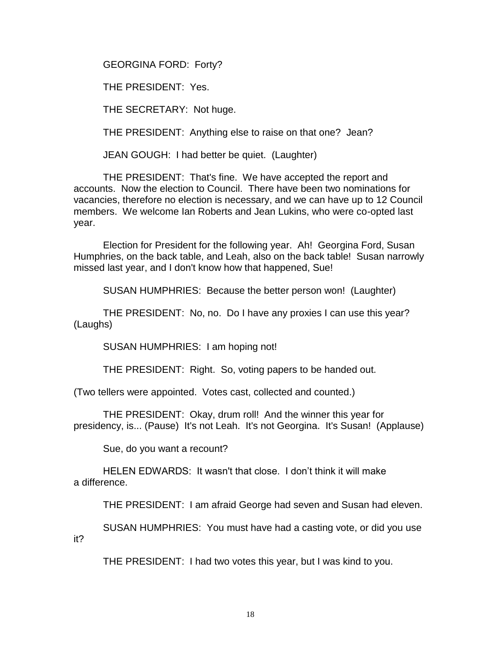GEORGINA FORD: Forty?

THE PRESIDENT: Yes.

THE SECRETARY: Not huge.

THE PRESIDENT: Anything else to raise on that one? Jean?

JEAN GOUGH: I had better be quiet. (Laughter)

THE PRESIDENT: That's fine. We have accepted the report and accounts. Now the election to Council. There have been two nominations for vacancies, therefore no election is necessary, and we can have up to 12 Council members. We welcome Ian Roberts and Jean Lukins, who were co-opted last year.

Election for President for the following year. Ah! Georgina Ford, Susan Humphries, on the back table, and Leah, also on the back table! Susan narrowly missed last year, and I don't know how that happened, Sue!

SUSAN HUMPHRIES: Because the better person won! (Laughter)

THE PRESIDENT: No, no. Do I have any proxies I can use this year? (Laughs)

SUSAN HUMPHRIES: I am hoping not!

THE PRESIDENT: Right. So, voting papers to be handed out.

(Two tellers were appointed. Votes cast, collected and counted.)

THE PRESIDENT: Okay, drum roll! And the winner this year for presidency, is... (Pause) It's not Leah. It's not Georgina. It's Susan! (Applause)

Sue, do you want a recount?

HELEN EDWARDS: It wasn't that close. I don't think it will make a difference.

THE PRESIDENT: I am afraid George had seven and Susan had eleven.

SUSAN HUMPHRIES: You must have had a casting vote, or did you use it?

THE PRESIDENT: I had two votes this year, but I was kind to you.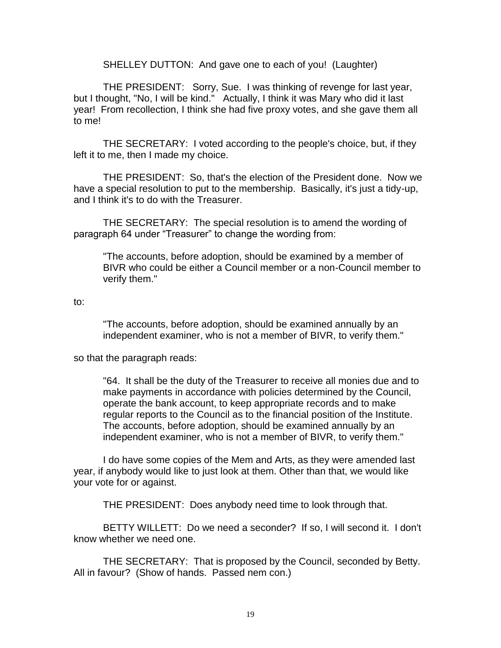SHELLEY DUTTON: And gave one to each of you! (Laughter)

THE PRESIDENT: Sorry, Sue. I was thinking of revenge for last year, but I thought, "No, I will be kind." Actually, I think it was Mary who did it last year! From recollection, I think she had five proxy votes, and she gave them all to me!

THE SECRETARY: I voted according to the people's choice, but, if they left it to me, then I made my choice.

THE PRESIDENT: So, that's the election of the President done. Now we have a special resolution to put to the membership. Basically, it's just a tidy-up, and I think it's to do with the Treasurer.

THE SECRETARY: The special resolution is to amend the wording of paragraph 64 under "Treasurer" to change the wording from:

"The accounts, before adoption, should be examined by a member of BIVR who could be either a Council member or a non-Council member to verify them."

to:

"The accounts, before adoption, should be examined annually by an independent examiner, who is not a member of BIVR, to verify them."

so that the paragraph reads:

"64. It shall be the duty of the Treasurer to receive all monies due and to make payments in accordance with policies determined by the Council, operate the bank account, to keep appropriate records and to make regular reports to the Council as to the financial position of the Institute. The accounts, before adoption, should be examined annually by an independent examiner, who is not a member of BIVR, to verify them."

I do have some copies of the Mem and Arts, as they were amended last year, if anybody would like to just look at them. Other than that, we would like your vote for or against.

THE PRESIDENT: Does anybody need time to look through that.

BETTY WILLETT: Do we need a seconder? If so, I will second it. I don't know whether we need one.

THE SECRETARY: That is proposed by the Council, seconded by Betty. All in favour? (Show of hands. Passed nem con.)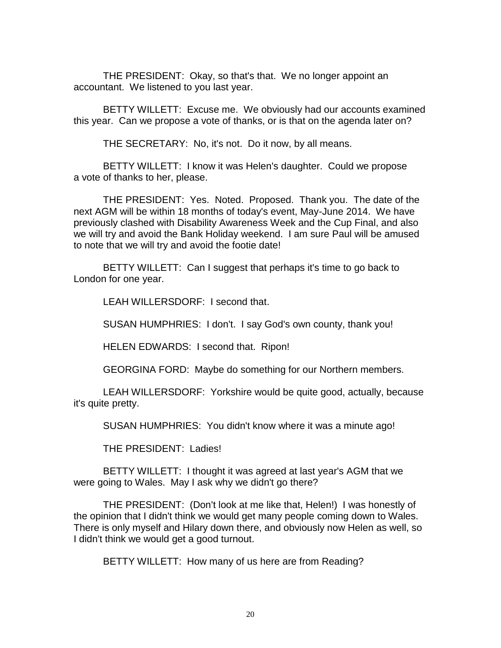THE PRESIDENT: Okay, so that's that. We no longer appoint an accountant. We listened to you last year.

BETTY WILLETT: Excuse me. We obviously had our accounts examined this year. Can we propose a vote of thanks, or is that on the agenda later on?

THE SECRETARY: No, it's not. Do it now, by all means.

BETTY WILLETT: I know it was Helen's daughter. Could we propose a vote of thanks to her, please.

THE PRESIDENT: Yes. Noted. Proposed. Thank you. The date of the next AGM will be within 18 months of today's event, May-June 2014. We have previously clashed with Disability Awareness Week and the Cup Final, and also we will try and avoid the Bank Holiday weekend. I am sure Paul will be amused to note that we will try and avoid the footie date!

BETTY WILLETT: Can I suggest that perhaps it's time to go back to London for one year.

LEAH WILLERSDORF: I second that.

SUSAN HUMPHRIES: I don't. I say God's own county, thank you!

HELEN EDWARDS: I second that. Ripon!

GEORGINA FORD: Maybe do something for our Northern members.

LEAH WILLERSDORF: Yorkshire would be quite good, actually, because it's quite pretty.

SUSAN HUMPHRIES: You didn't know where it was a minute ago!

THE PRESIDENT: Ladies!

BETTY WILLETT: I thought it was agreed at last year's AGM that we were going to Wales. May I ask why we didn't go there?

THE PRESIDENT: (Don't look at me like that, Helen!) I was honestly of the opinion that I didn't think we would get many people coming down to Wales. There is only myself and Hilary down there, and obviously now Helen as well, so I didn't think we would get a good turnout.

BETTY WILLETT: How many of us here are from Reading?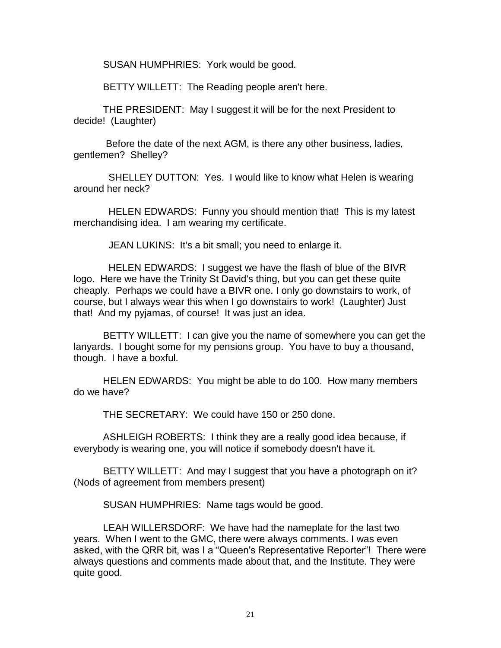SUSAN HUMPHRIES: York would be good.

BETTY WILLETT: The Reading people aren't here.

THE PRESIDENT: May I suggest it will be for the next President to decide! (Laughter)

Before the date of the next AGM, is there any other business, ladies, gentlemen? Shelley?

 SHELLEY DUTTON: Yes. I would like to know what Helen is wearing around her neck?

 HELEN EDWARDS: Funny you should mention that! This is my latest merchandising idea. I am wearing my certificate.

JEAN LUKINS: It's a bit small; you need to enlarge it.

 HELEN EDWARDS: I suggest we have the flash of blue of the BIVR logo. Here we have the Trinity St David's thing, but you can get these quite cheaply. Perhaps we could have a BIVR one. I only go downstairs to work, of course, but I always wear this when I go downstairs to work! (Laughter) Just that! And my pyjamas, of course! It was just an idea.

BETTY WILLETT: I can give you the name of somewhere you can get the lanyards. I bought some for my pensions group. You have to buy a thousand, though. I have a boxful.

HELEN EDWARDS: You might be able to do 100. How many members do we have?

THE SECRETARY: We could have 150 or 250 done.

ASHLEIGH ROBERTS: I think they are a really good idea because, if everybody is wearing one, you will notice if somebody doesn't have it.

BETTY WILLETT: And may I suggest that you have a photograph on it? (Nods of agreement from members present)

SUSAN HUMPHRIES: Name tags would be good.

LEAH WILLERSDORF: We have had the nameplate for the last two years. When I went to the GMC, there were always comments. I was even asked, with the QRR bit, was I a "Queen's Representative Reporter"! There were always questions and comments made about that, and the Institute. They were quite good.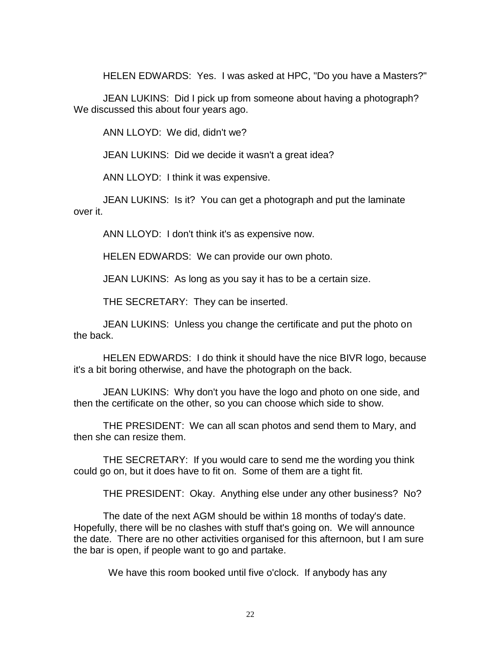HELEN EDWARDS: Yes. I was asked at HPC, "Do you have a Masters?"

JEAN LUKINS: Did I pick up from someone about having a photograph? We discussed this about four years ago.

ANN LLOYD: We did, didn't we?

JEAN LUKINS: Did we decide it wasn't a great idea?

ANN LLOYD: I think it was expensive.

JEAN LUKINS: Is it? You can get a photograph and put the laminate over it.

ANN LLOYD: I don't think it's as expensive now.

HELEN EDWARDS: We can provide our own photo.

JEAN LUKINS: As long as you say it has to be a certain size.

THE SECRETARY: They can be inserted.

JEAN LUKINS: Unless you change the certificate and put the photo on the back.

HELEN EDWARDS: I do think it should have the nice BIVR logo, because it's a bit boring otherwise, and have the photograph on the back.

JEAN LUKINS: Why don't you have the logo and photo on one side, and then the certificate on the other, so you can choose which side to show.

THE PRESIDENT: We can all scan photos and send them to Mary, and then she can resize them.

THE SECRETARY: If you would care to send me the wording you think could go on, but it does have to fit on. Some of them are a tight fit.

THE PRESIDENT: Okay. Anything else under any other business? No?

The date of the next AGM should be within 18 months of today's date. Hopefully, there will be no clashes with stuff that's going on. We will announce the date. There are no other activities organised for this afternoon, but I am sure the bar is open, if people want to go and partake.

We have this room booked until five o'clock. If anybody has any